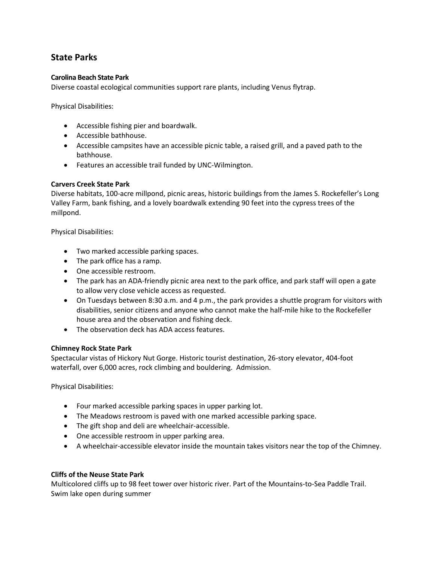# **State Parks**

## **Carolina Beach State Park**

Diverse coastal ecological communities support rare plants, including Venus flytrap.

Physical Disabilities:

- Accessible fishing pier and boardwalk.
- Accessible bathhouse.
- Accessible campsites have an accessible picnic table, a raised grill, and a paved path to the bathhouse.
- Features an accessible trail funded by UNC-Wilmington.

## **Carvers Creek State Park**

Diverse habitats, 100-acre millpond, picnic areas, historic buildings from the James S. Rockefeller's Long Valley Farm, bank fishing, and a lovely boardwalk extending 90 feet into the cypress trees of the millpond.

Physical Disabilities:

- Two marked accessible parking spaces.
- The park office has a ramp.
- One accessible restroom.
- The park has an ADA-friendly picnic area next to the park office, and park staff will open a gate to allow very close vehicle access as requested.
- On Tuesdays between 8:30 a.m. and 4 p.m., the park provides a shuttle program for visitors with disabilities, senior citizens and anyone who cannot make the half-mile hike to the Rockefeller house area and the observation and fishing deck.
- The observation deck has ADA access features.

## **Chimney Rock State Park**

Spectacular vistas of Hickory Nut Gorge. Historic tourist destination, 26-story elevator, 404-foot waterfall, over 6,000 acres, rock climbing and bouldering. Admission.

Physical Disabilities:

- Four marked accessible parking spaces in upper parking lot.
- The Meadows restroom is paved with one marked accessible parking space.
- The gift shop and deli are wheelchair-accessible.
- One accessible restroom in upper parking area.
- A wheelchair-accessible elevator inside the mountain takes visitors near the top of the Chimney.

## **Cliffs of the Neuse State Park**

Multicolored cliffs up to 98 feet tower over historic river. Part of the Mountains-to-Sea Paddle Trail. Swim lake open during summer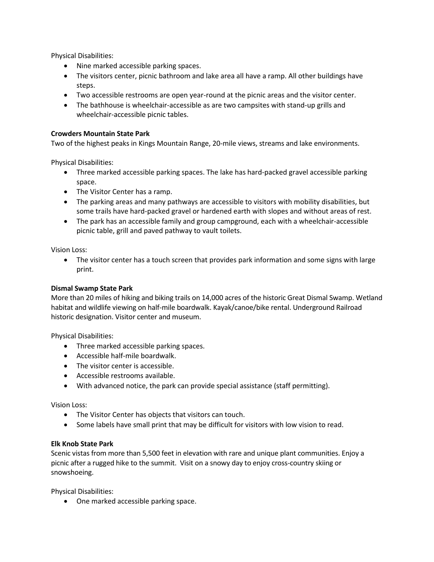Physical Disabilities:

- Nine marked accessible parking spaces.
- The visitors center, picnic bathroom and lake area all have a ramp. All other buildings have steps.
- Two accessible restrooms are open year-round at the picnic areas and the visitor center.
- The bathhouse is wheelchair-accessible as are two campsites with stand-up grills and wheelchair-accessible picnic tables.

## **Crowders Mountain State Park**

Two of the highest peaks in Kings Mountain Range, 20-mile views, streams and lake environments.

Physical Disabilities:

- Three marked accessible parking spaces. The lake has hard-packed gravel accessible parking space.
- The Visitor Center has a ramp.
- The parking areas and many pathways are accessible to visitors with mobility disabilities, but some trails have hard-packed gravel or hardened earth with slopes and without areas of rest.
- The park has an accessible family and group campground, each with a wheelchair-accessible picnic table, grill and paved pathway to vault toilets.

Vision Loss:

• The visitor center has a touch screen that provides park information and some signs with large print.

## **Dismal Swamp State Park**

More than 20 miles of hiking and biking trails on 14,000 acres of the historic Great Dismal Swamp. Wetland habitat and wildlife viewing on half-mile boardwalk. Kayak/canoe/bike rental. Underground Railroad historic designation. Visitor center and museum.

Physical Disabilities:

- Three marked accessible parking spaces.
- Accessible half-mile boardwalk.
- The visitor center is accessible.
- Accessible restrooms available.
- With advanced notice, the park can provide special assistance (staff permitting).

Vision Loss:

- The Visitor Center has objects that visitors can touch.
- Some labels have small print that may be difficult for visitors with low vision to read.

## **Elk Knob State Park**

Scenic vistas from more than 5,500 feet in elevation with rare and unique plant communities. Enjoy a picnic after a rugged hike to the summit. Visit on a snowy day to enjoy cross-country skiing or snowshoeing.

Physical Disabilities:

• One marked accessible parking space.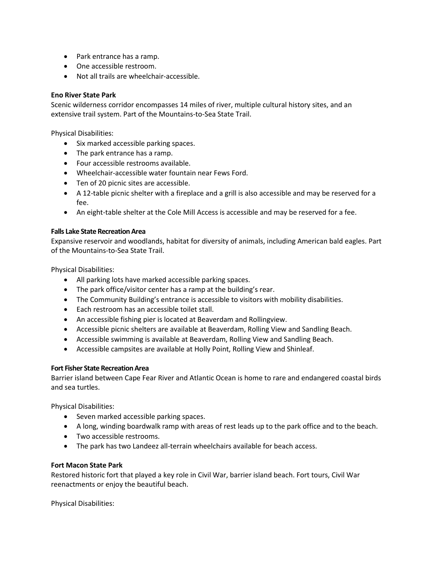- Park entrance has a ramp.
- One accessible restroom.
- Not all trails are wheelchair-accessible.

## **Eno River State Park**

Scenic wilderness corridor encompasses 14 miles of river, multiple cultural history sites, and an extensive trail system. Part of the Mountains-to-Sea State Trail.

Physical Disabilities:

- Six marked accessible parking spaces.
- The park entrance has a ramp.
- Four accessible restrooms available.
- Wheelchair-accessible water fountain near Fews Ford.
- Ten of 20 picnic sites are accessible.
- A 12-table picnic shelter with a fireplace and a grill is also accessible and may be reserved for a fee.
- An eight-table shelter at the Cole Mill Access is accessible and may be reserved for a fee.

#### **Falls Lake State Recreation Area**

Expansive reservoir and woodlands, habitat for diversity of animals, including American bald eagles. Part of the Mountains-to-Sea State Trail.

Physical Disabilities:

- All parking lots have marked accessible parking spaces.
- The park office/visitor center has a ramp at the building's rear.
- The Community Building's entrance is accessible to visitors with mobility disabilities.
- Each restroom has an accessible toilet stall.
- An accessible fishing pier is located at Beaverdam and Rollingview.
- Accessible picnic shelters are available at Beaverdam, Rolling View and Sandling Beach.
- Accessible swimming is available at Beaverdam, Rolling View and Sandling Beach.
- Accessible campsites are available at Holly Point, Rolling View and Shinleaf.

## **Fort Fisher State Recreation Area**

Barrier island between Cape Fear River and Atlantic Ocean is home to rare and endangered coastal birds and sea turtles.

Physical Disabilities:

- Seven marked accessible parking spaces.
- A long, winding boardwalk ramp with areas of rest leads up to the park office and to the beach.
- Two accessible restrooms.
- The park has two Landeez all-terrain wheelchairs available for beach access.

## **Fort Macon State Park**

Restored historic fort that played a key role in Civil War, barrier island beach. Fort tours, Civil War reenactments or enjoy the beautiful beach.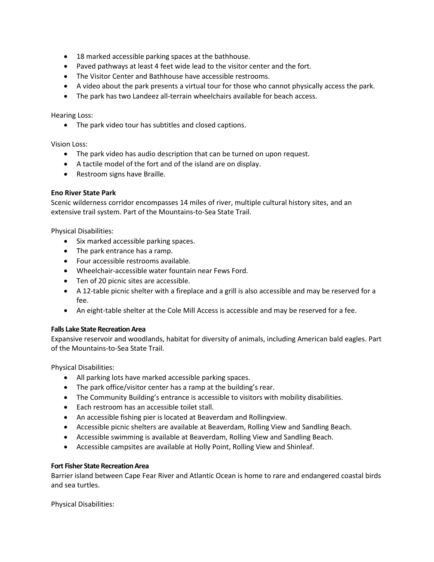- 18 marked accessible parking spaces at the bathhouse.
- Paved pathways at least 4 feet wide lead to the visitor center and the fort.
- The Visitor Center and Bathhouse have accessible restrooms.
- A video about the park presents a virtual tour for those who cannot physically access the park.
- The park has two Landeez all-terrain wheelchairs available for beach access.

Hearing Loss:

• The park video tour has subtitles and closed captions.

Vision Loss:

- The park video has audio description that can be turned on upon request.
- A tactile model of the fort and of the island are on display.
- Restroom signs have Braille.

## **Eno River State Park**

Scenic wilderness corridor encompasses 14 miles of river, multiple cultural history sites, and an extensive trail system. Part of the Mountains-to-Sea State Trail.

Physical Disabilities:

- Six marked accessible parking spaces.
- The park entrance has a ramp.
- Four accessible restrooms available.
- Wheelchair-accessible water fountain near Fews Ford.
- Ten of 20 picnic sites are accessible.
- A 12-table picnic shelter with a fireplace and a grill is also accessible and may be reserved for a fee.
- An eight-table shelter at the Cole Mill Access is accessible and may be reserved for a fee.

## **Falls Lake State Recreation Area**

Expansive reservoir and woodlands, habitat for diversity of animals, including American bald eagles. Part of the Mountains-to-Sea State Trail.

Physical Disabilities:

- All parking lots have marked accessible parking spaces.
- The park office/visitor center has a ramp at the building's rear.
- The Community Building's entrance is accessible to visitors with mobility disabilities.
- Each restroom has an accessible toilet stall.
- An accessible fishing pier is located at Beaverdam and Rollingview.
- Accessible picnic shelters are available at Beaverdam, Rolling View and Sandling Beach.
- Accessible swimming is available at Beaverdam, Rolling View and Sandling Beach.
- Accessible campsites are available at Holly Point, Rolling View and Shinleaf.

## **Fort Fisher State Recreation Area**

Barrier island between Cape Fear River and Atlantic Ocean is home to rare and endangered coastal birds and sea turtles.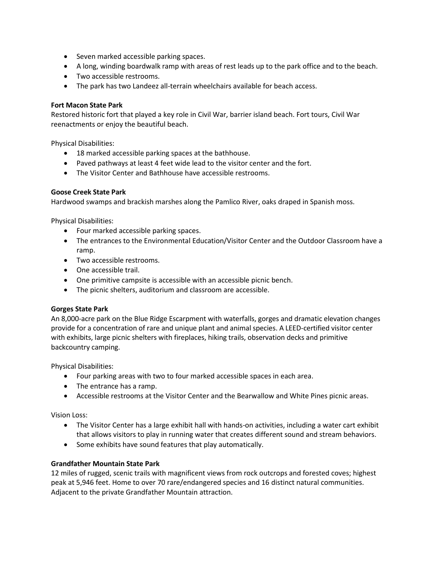- Seven marked accessible parking spaces.
- A long, winding boardwalk ramp with areas of rest leads up to the park office and to the beach.
- Two accessible restrooms.
- The park has two Landeez all-terrain wheelchairs available for beach access.

#### **Fort Macon State Park**

Restored historic fort that played a key role in Civil War, barrier island beach. Fort tours, Civil War reenactments or enjoy the beautiful beach.

Physical Disabilities:

- 18 marked accessible parking spaces at the bathhouse.
- Paved pathways at least 4 feet wide lead to the visitor center and the fort.
- The Visitor Center and Bathhouse have accessible restrooms.

## **Goose Creek State Park**

Hardwood swamps and brackish marshes along the Pamlico River, oaks draped in Spanish moss.

Physical Disabilities:

- Four marked accessible parking spaces.
- The entrances to the Environmental Education/Visitor Center and the Outdoor Classroom have a ramp.
- Two accessible restrooms.
- One accessible trail.
- One primitive campsite is accessible with an accessible picnic bench.
- The picnic shelters, auditorium and classroom are accessible.

## **Gorges State Park**

An 8,000-acre park on the Blue Ridge Escarpment with waterfalls, gorges and dramatic elevation changes provide for a concentration of rare and unique plant and animal species. A LEED-certified visitor center with exhibits, large picnic shelters with fireplaces, hiking trails, observation decks and primitive backcountry camping.

Physical Disabilities:

- Four parking areas with two to four marked accessible spaces in each area.
- The entrance has a ramp.
- Accessible restrooms at the Visitor Center and the Bearwallow and White Pines picnic areas.

Vision Loss:

- The Visitor Center has a large exhibit hall with hands-on activities, including a water cart exhibit that allows visitors to play in running water that creates different sound and stream behaviors.
- Some exhibits have sound features that play automatically.

## **Grandfather Mountain State Park**

12 miles of rugged, scenic trails with magnificent views from rock outcrops and forested coves; highest peak at 5,946 feet. Home to over 70 rare/endangered species and 16 distinct natural communities. Adjacent to the private Grandfather Mountain attraction.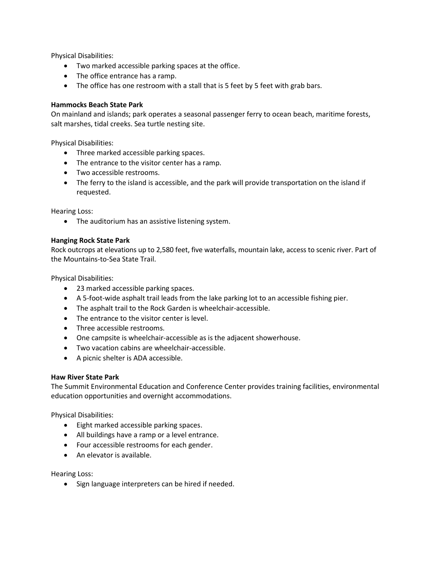Physical Disabilities:

- Two marked accessible parking spaces at the office.
- The office entrance has a ramp.
- The office has one restroom with a stall that is 5 feet by 5 feet with grab bars.

## **Hammocks Beach State Park**

On mainland and islands; park operates a seasonal passenger ferry to ocean beach, maritime forests, salt marshes, tidal creeks. Sea turtle nesting site.

Physical Disabilities:

- Three marked accessible parking spaces.
- The entrance to the visitor center has a ramp.
- Two accessible restrooms.
- The ferry to the island is accessible, and the park will provide transportation on the island if requested.

Hearing Loss:

• The auditorium has an assistive listening system.

## **Hanging Rock State Park**

Rock outcrops at elevations up to 2,580 feet, five waterfalls, mountain lake, access to scenic river. Part of the Mountains-to-Sea State Trail.

Physical Disabilities:

- 23 marked accessible parking spaces.
- A 5-foot-wide asphalt trail leads from the lake parking lot to an accessible fishing pier.
- The asphalt trail to the Rock Garden is wheelchair-accessible.
- The entrance to the visitor center is level.
- Three accessible restrooms.
- One campsite is wheelchair-accessible as is the adjacent showerhouse.
- Two vacation cabins are wheelchair-accessible.
- A picnic shelter is ADA accessible.

## **Haw River State Park**

The Summit Environmental Education and Conference Center provides training facilities, environmental education opportunities and overnight accommodations.

Physical Disabilities:

- Eight marked accessible parking spaces.
- All buildings have a ramp or a level entrance.
- Four accessible restrooms for each gender.
- An elevator is available.

Hearing Loss:

• Sign language interpreters can be hired if needed.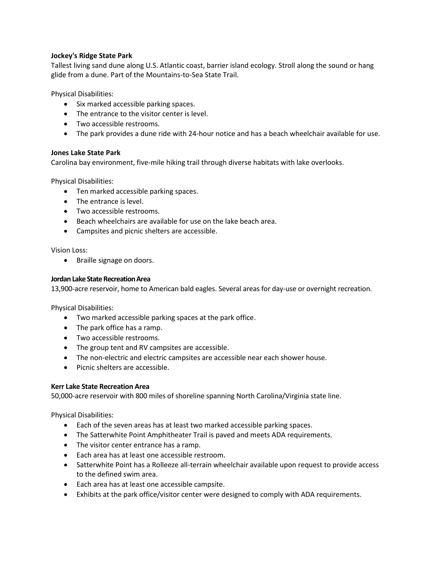## **Jockey's Ridge State Park**

Tallest living sand dune along U.S. Atlantic coast, barrier island ecology. Stroll along the sound or hang glide from a dune. Part of the Mountains-to-Sea State Trail.

Physical Disabilities:

- Six marked accessible parking spaces.
- The entrance to the visitor center is level.
- Two accessible restrooms.
- The park provides a dune ride with 24-hour notice and has a beach wheelchair available for use.

## **Jones Lake State Park**

Carolina bay environment, five-mile hiking trail through diverse habitats with lake overlooks.

Physical Disabilities:

- Ten marked accessible parking spaces.
- The entrance is level.
- Two accessible restrooms.
- Beach wheelchairs are available for use on the lake beach area.
- Campsites and picnic shelters are accessible.

Vision Loss:

• Braille signage on doors.

#### **Jordan Lake State Recreation Area**

13,900-acre reservoir, home to American bald eagles. Several areas for day-use or overnight recreation.

Physical Disabilities:

- Two marked accessible parking spaces at the park office.
- The park office has a ramp.
- Two accessible restrooms.
- The group tent and RV campsites are accessible.
- The non-electric and electric campsites are accessible near each shower house.
- Picnic shelters are accessible.

## **Kerr Lake State Recreation Area**

50,000-acre reservoir with 800 miles of shoreline spanning North Carolina/Virginia state line.

- Each of the seven areas has at least two marked accessible parking spaces.
- The Satterwhite Point Amphitheater Trail is paved and meets ADA requirements.
- The visitor center entrance has a ramp.
- Each area has at least one accessible restroom.
- Satterwhite Point has a Rolleeze all-terrain wheelchair available upon request to provide access to the defined swim area.
- Each area has at least one accessible campsite.
- Exhibits at the park office/visitor center were designed to comply with ADA requirements.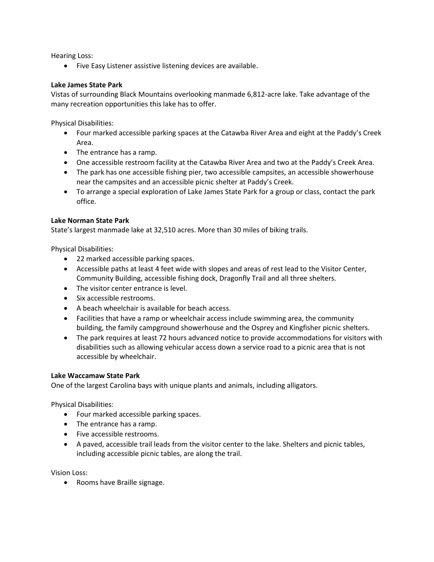Hearing Loss:

• Five Easy Listener assistive listening devices are available.

#### **Lake James State Park**

Vistas of surrounding Black Mountains overlooking manmade 6,812-acre lake. Take advantage of the many recreation opportunities this lake has to offer.

Physical Disabilities:

- Four marked accessible parking spaces at the Catawba River Area and eight at the Paddy's Creek Area.
- The entrance has a ramp.
- One accessible restroom facility at the Catawba River Area and two at the Paddy's Creek Area.
- The park has one accessible fishing pier, two accessible campsites, an accessible showerhouse near the campsites and an accessible picnic shelter at Paddy's Creek.
- To arrange a special exploration of Lake James State Park for a group or class, contact the park office.

#### **Lake Norman State Park**

State's largest manmade lake at 32,510 acres. More than 30 miles of biking trails.

Physical Disabilities:

- 22 marked accessible parking spaces.
- Accessible paths at least 4 feet wide with slopes and areas of rest lead to the Visitor Center, Community Building, accessible fishing dock, Dragonfly Trail and all three shelters.
- The visitor center entrance is level.
- Six accessible restrooms.
- A beach wheelchair is available for beach access.
- Facilities that have a ramp or wheelchair access include swimming area, the community building, the family campground showerhouse and the Osprey and Kingfisher picnic shelters.
- The park requires at least 72 hours advanced notice to provide accommodations for visitors with disabilities such as allowing vehicular access down a service road to a picnic area that is not accessible by wheelchair.

## **Lake Waccamaw State Park**

One of the largest Carolina bays with unique plants and animals, including alligators.

Physical Disabilities:

- Four marked accessible parking spaces.
- The entrance has a ramp.
- Five accessible restrooms.
- A paved, accessible trail leads from the visitor center to the lake. Shelters and picnic tables, including accessible picnic tables, are along the trail.

Vision Loss:

• Rooms have Braille signage.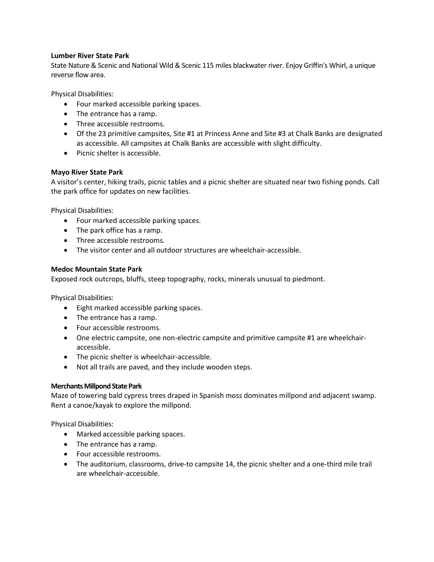## **Lumber River State Park**

State Nature & Scenic and National Wild & Scenic 115 miles blackwater river. Enjoy Griffin's Whirl, a unique reverse flow area.

Physical Disabilities:

- Four marked accessible parking spaces.
- The entrance has a ramp.
- Three accessible restrooms.
- Of the 23 primitive campsites, Site #1 at Princess Anne and Site #3 at Chalk Banks are designated as accessible. All campsites at Chalk Banks are accessible with slight difficulty.
- Picnic shelter is accessible.

## **Mayo River State Park**

A visitor's center, hiking trails, picnic tables and a picnic shelter are situated near two fishing ponds. Call the park office for updates on new facilities.

Physical Disabilities:

- Four marked accessible parking spaces.
- The park office has a ramp.
- Three accessible restrooms.
- The visitor center and all outdoor structures are wheelchair-accessible.

## **Medoc Mountain State Park**

Exposed rock outcrops, bluffs, steep topography, rocks, minerals unusual to piedmont.

Physical Disabilities:

- Eight marked accessible parking spaces.
- The entrance has a ramp.
- Four accessible restrooms.
- One electric campsite, one non-electric campsite and primitive campsite #1 are wheelchairaccessible.
- The picnic shelter is wheelchair-accessible.
- Not all trails are paved, and they include wooden steps.

## **Merchants Millpond State Park**

Maze of towering bald cypress trees draped in Spanish moss dominates millpond and adjacent swamp. Rent a canoe/kayak to explore the millpond.

- Marked accessible parking spaces.
- The entrance has a ramp.
- Four accessible restrooms.
- The auditorium, classrooms, drive-to campsite 14, the picnic shelter and a one-third mile trail are wheelchair-accessible.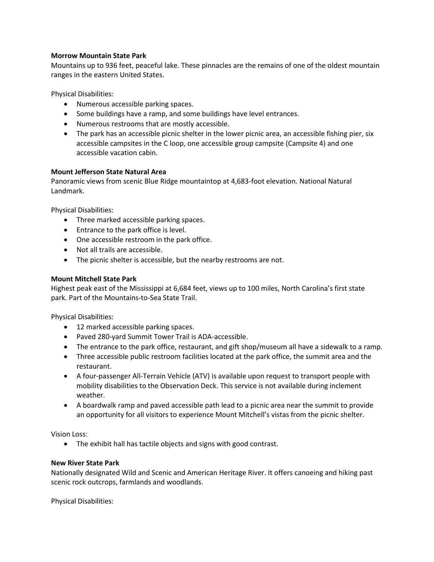## **Morrow Mountain State Park**

Mountains up to 936 feet, peaceful lake. These pinnacles are the remains of one of the oldest mountain ranges in the eastern United States.

Physical Disabilities:

- Numerous accessible parking spaces.
- Some buildings have a ramp, and some buildings have level entrances.
- Numerous restrooms that are mostly accessible.
- The park has an accessible picnic shelter in the lower picnic area, an accessible fishing pier, six accessible campsites in the C loop, one accessible group campsite (Campsite 4) and one accessible vacation cabin.

## **Mount Jefferson State Natural Area**

Panoramic views from scenic Blue Ridge mountaintop at 4,683-foot elevation. National Natural Landmark.

Physical Disabilities:

- Three marked accessible parking spaces.
- Entrance to the park office is level.
- One accessible restroom in the park office.
- Not all trails are accessible.
- The picnic shelter is accessible, but the nearby restrooms are not.

#### **Mount Mitchell State Park**

Highest peak east of the Mississippi at 6,684 feet, views up to 100 miles, North Carolina's first state park. Part of the Mountains-to-Sea State Trail.

Physical Disabilities:

- 12 marked accessible parking spaces.
- Paved 280-yard Summit Tower Trail is ADA-accessible.
- The entrance to the park office, restaurant, and gift shop/museum all have a sidewalk to a ramp.
- Three accessible public restroom facilities located at the park office, the summit area and the restaurant.
- A four-passenger All-Terrain Vehicle (ATV) is available upon request to transport people with mobility disabilities to the Observation Deck. This service is not available during inclement weather.
- A boardwalk ramp and paved accessible path lead to a picnic area near the summit to provide an opportunity for all visitors to experience Mount Mitchell's vistas from the picnic shelter.

Vision Loss:

• The exhibit hall has tactile objects and signs with good contrast.

#### **New River State Park**

Nationally designated Wild and Scenic and American Heritage River. It offers canoeing and hiking past scenic rock outcrops, farmlands and woodlands.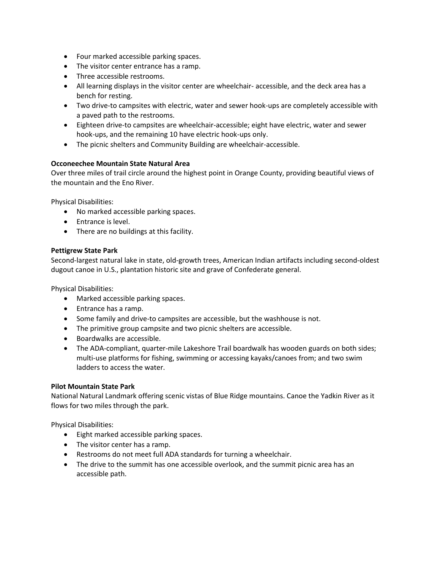- Four marked accessible parking spaces.
- The visitor center entrance has a ramp.
- Three accessible restrooms.
- All learning displays in the visitor center are wheelchair- accessible, and the deck area has a bench for resting.
- Two drive-to campsites with electric, water and sewer hook-ups are completely accessible with a paved path to the restrooms.
- Eighteen drive-to campsites are wheelchair-accessible; eight have electric, water and sewer hook-ups, and the remaining 10 have electric hook-ups only.
- The picnic shelters and Community Building are wheelchair-accessible.

## **Occoneechee Mountain State Natural Area**

Over three miles of trail circle around the highest point in Orange County, providing beautiful views of the mountain and the Eno River.

Physical Disabilities:

- No marked accessible parking spaces.
- Entrance is level.
- There are no buildings at this facility.

#### **Pettigrew State Park**

Second-largest natural lake in state, old-growth trees, American Indian artifacts including second-oldest dugout canoe in U.S., plantation historic site and grave of Confederate general.

Physical Disabilities:

- Marked accessible parking spaces.
- Entrance has a ramp.
- Some family and drive-to campsites are accessible, but the washhouse is not.
- The primitive group campsite and two picnic shelters are accessible.
- Boardwalks are accessible.
- The ADA-compliant, quarter-mile Lakeshore Trail boardwalk has wooden guards on both sides; multi-use platforms for fishing, swimming or accessing kayaks/canoes from; and two swim ladders to access the water.

#### **Pilot Mountain State Park**

National Natural Landmark offering scenic vistas of Blue Ridge mountains. Canoe the Yadkin River as it flows for two miles through the park.

- Eight marked accessible parking spaces.
- The visitor center has a ramp.
- Restrooms do not meet full ADA standards for turning a wheelchair.
- The drive to the summit has one accessible overlook, and the summit picnic area has an accessible path.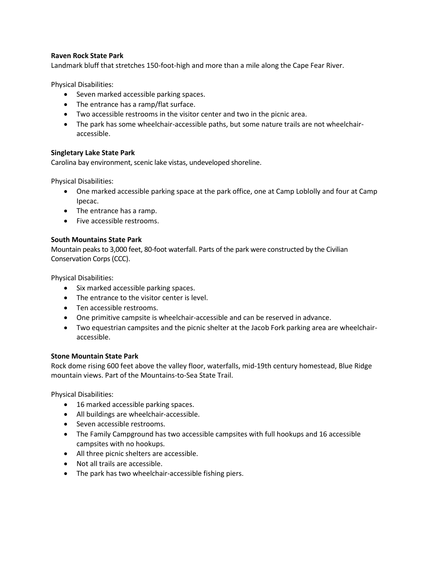## **Raven Rock State Park**

Landmark bluff that stretches 150-foot-high and more than a mile along the Cape Fear River.

Physical Disabilities:

- Seven marked accessible parking spaces.
- The entrance has a ramp/flat surface.
- Two accessible restrooms in the visitor center and two in the picnic area.
- The park has some wheelchair-accessible paths, but some nature trails are not wheelchairaccessible.

## **Singletary Lake State Park**

Carolina bay environment, scenic lake vistas, undeveloped shoreline.

Physical Disabilities:

- One marked accessible parking space at the park office, one at Camp Loblolly and four at Camp Ipecac.
- The entrance has a ramp.
- Five accessible restrooms.

## **South Mountains State Park**

Mountain peaks to 3,000 feet, 80-foot waterfall. Parts of the park were constructed by the Civilian Conservation Corps (CCC).

Physical Disabilities:

- Six marked accessible parking spaces.
- The entrance to the visitor center is level.
- Ten accessible restrooms.
- One primitive campsite is wheelchair-accessible and can be reserved in advance.
- Two equestrian campsites and the picnic shelter at the Jacob Fork parking area are wheelchairaccessible.

## **Stone Mountain State Park**

Rock dome rising 600 feet above the valley floor, waterfalls, mid-19th century homestead, Blue Ridge mountain views. Part of the Mountains-to-Sea State Trail.

- 16 marked accessible parking spaces.
- All buildings are wheelchair-accessible.
- Seven accessible restrooms.
- The Family Campground has two accessible campsites with full hookups and 16 accessible campsites with no hookups.
- All three picnic shelters are accessible.
- Not all trails are accessible.
- The park has two wheelchair-accessible fishing piers.